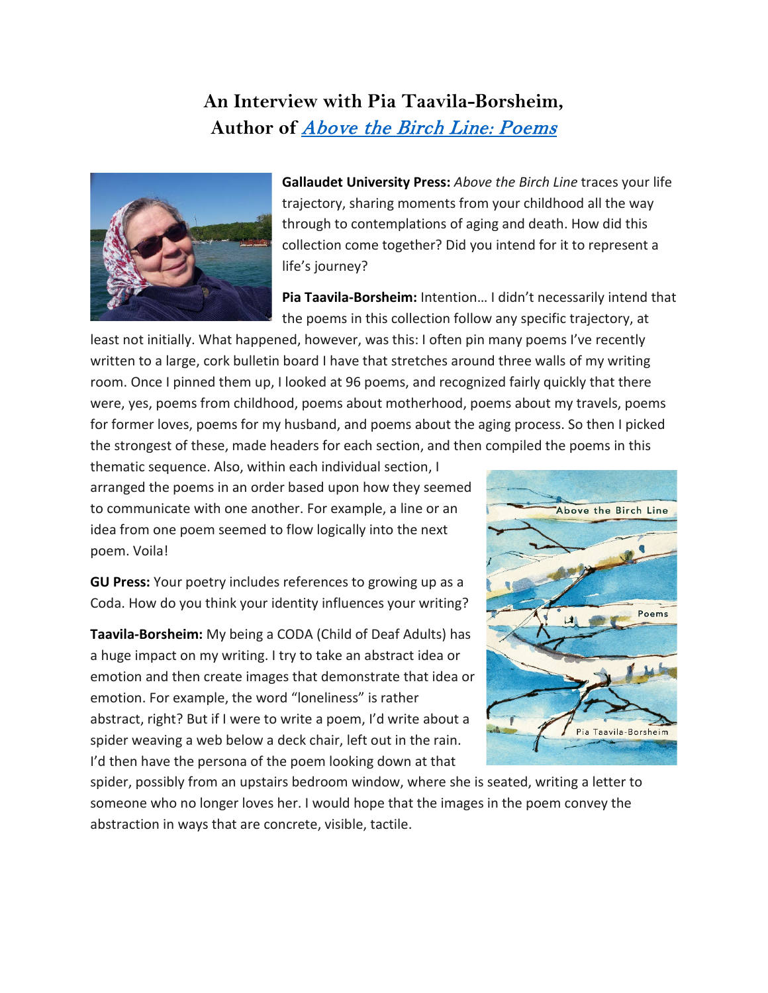## **An Interview with Pia Taavila-Borsheim, Author of** [Above the Birch Line: Poems](http://gupress.gallaudet.edu/above-the-birch-line.html)



**Gallaudet University Press:** *Above the Birch Line* traces your life trajectory, sharing moments from your childhood all the way through to contemplations of aging and death. How did this collection come together? Did you intend for it to represent a life's journey?

**Pia Taavila-Borsheim:** Intention… I didn't necessarily intend that the poems in this collection follow any specific trajectory, at

least not initially. What happened, however, was this: I often pin many poems I've recently written to a large, cork bulletin board I have that stretches around three walls of my writing room. Once I pinned them up, I looked at 96 poems, and recognized fairly quickly that there were, yes, poems from childhood, poems about motherhood, poems about my travels, poems for former loves, poems for my husband, and poems about the aging process. So then I picked the strongest of these, made headers for each section, and then compiled the poems in this

thematic sequence. Also, within each individual section, I arranged the poems in an order based upon how they seemed to communicate with one another. For example, a line or an idea from one poem seemed to flow logically into the next poem. Voila!

**GU Press:** Your poetry includes references to growing up as a Coda. How do you think your identity influences your writing?

**Taavila-Borsheim:** My being a CODA (Child of Deaf Adults) has a huge impact on my writing. I try to take an abstract idea or emotion and then create images that demonstrate that idea or emotion. For example, the word "loneliness" is rather abstract, right? But if I were to write a poem, I'd write about a spider weaving a web below a deck chair, left out in the rain. I'd then have the persona of the poem looking down at that



spider, possibly from an upstairs bedroom window, where she is seated, writing a letter to someone who no longer loves her. I would hope that the images in the poem convey the abstraction in ways that are concrete, visible, tactile.